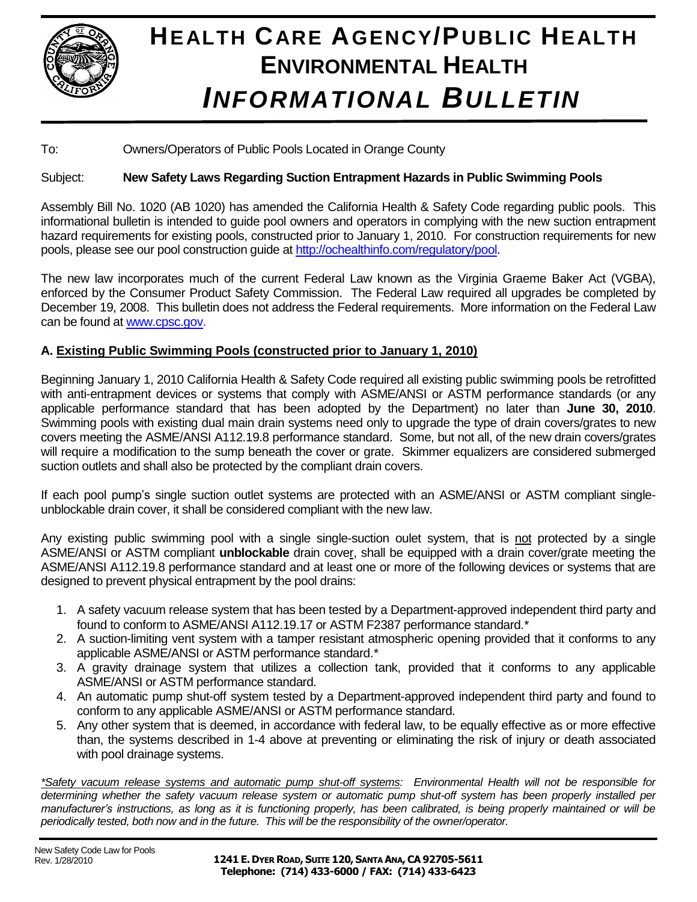

# **HEALTH CARE AGENCY/PUBLIC HEALTH ENVIRONMENTAL HEALTH** *INFORMATIONAL BULLETIN*

To: Owners/Operators of Public Pools Located in Orange County

## Subject: **New Safety Laws Regarding Suction Entrapment Hazards in Public Swimming Pools**

Assembly Bill No. 1020 (AB 1020) has amended the California Health & Safety Code regarding public pools. This informational bulletin is intended to guide pool owners and operators in complying with the new suction entrapment hazard requirements for existing pools, constructed prior to January 1, 2010. For construction requirements for new pools, please see our pool construction guide at [http://ochealthinfo.com/regulatory/pool.](http://ochealthinfo.com/regulatory/pool)

The new law incorporates much of the current Federal Law known as the Virginia Graeme Baker Act (VGBA), enforced by the Consumer Product Safety Commission. The Federal Law required all upgrades be completed by December 19, 2008. This bulletin does not address the Federal requirements. More information on the Federal Law can be found at [www.cpsc.gov.](http://www.cpsc.gov/)

## **A. Existing Public Swimming Pools (constructed prior to January 1, 2010)**

Beginning January 1, 2010 California Health & Safety Code required all existing public swimming pools be retrofitted with anti-entrapment devices or systems that comply with ASME/ANSI or ASTM performance standards (or any applicable performance standard that has been adopted by the Department) no later than **June 30, 2010**. Swimming pools with existing dual main drain systems need only to upgrade the type of drain covers/grates to new covers meeting the ASME/ANSI A112.19.8 performance standard. Some, but not all, of the new drain covers/grates will require a modification to the sump beneath the cover or grate. Skimmer equalizers are considered submerged suction outlets and shall also be protected by the compliant drain covers.

If each pool pump's single suction outlet systems are protected with an ASME/ANSI or ASTM compliant singleunblockable drain cover, it shall be considered compliant with the new law.

Any existing public swimming pool with a single single-suction oulet system, that is not protected by a single ASME/ANSI or ASTM compliant **unblockable** drain cover, shall be equipped with a drain cover/grate meeting the ASME/ANSI A112.19.8 performance standard and at least one or more of the following devices or systems that are designed to prevent physical entrapment by the pool drains:

- 1. A safety vacuum release system that has been tested by a Department-approved independent third party and found to conform to ASME/ANSI A112.19.17 or ASTM F2387 performance standard.*\**
- 2. A suction-limiting vent system with a tamper resistant atmospheric opening provided that it conforms to any applicable ASME/ANSI or ASTM performance standard.*\**
- 3. A gravity drainage system that utilizes a collection tank, provided that it conforms to any applicable ASME/ANSI or ASTM performance standard.
- 4. An automatic pump shut-off system tested by a Department-approved independent third party and found to conform to any applicable ASME/ANSI or ASTM performance standard.
- 5. Any other system that is deemed, in accordance with federal law, to be equally effective as or more effective than, the systems described in 1-4 above at preventing or eliminating the risk of injury or death associated with pool drainage systems.

*\*Safety vacuum release systems and automatic pump shut-off systems: Environmental Health will not be responsible for determining whether the safety vacuum release system or automatic pump shut-off system has been properly installed per manufacturer's instructions, as long as it is functioning properly, has been calibrated, is being properly maintained or will be periodically tested, both now and in the future. This will be the responsibility of the owner/operator.*